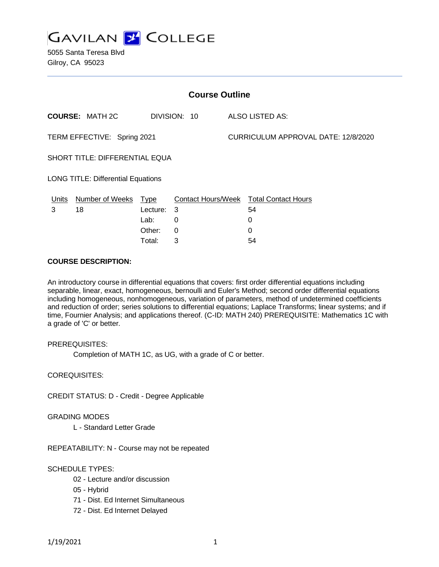

5055 Santa Teresa Blvd Gilroy, CA 95023

| <b>Course Outline</b>                     |                        |            |              |                                     |                                        |
|-------------------------------------------|------------------------|------------|--------------|-------------------------------------|----------------------------------------|
|                                           | <b>COURSE: MATH 2C</b> |            | DIVISION: 10 |                                     | ALSO LISTED AS:                        |
| TERM EFFECTIVE: Spring 2021               |                        |            |              | CURRICULUM APPROVAL DATE: 12/8/2020 |                                        |
| SHORT TITLE: DIFFERENTIAL EQUA            |                        |            |              |                                     |                                        |
| <b>LONG TITLE: Differential Equations</b> |                        |            |              |                                     |                                        |
| <u>Units</u>                              | Number of Weeks Type   |            |              |                                     | Contact Hours/Week Total Contact Hours |
| 3                                         | 18                     | Lecture: 3 |              |                                     | 54                                     |
|                                           |                        | Lab:       | 0            |                                     | 0                                      |
|                                           |                        | Other:     | 0            |                                     | $\Omega$                               |
|                                           |                        | Total:     | 3            |                                     | 54                                     |

#### **COURSE DESCRIPTION:**

An introductory course in differential equations that covers: first order differential equations including separable, linear, exact, homogeneous, bernoulli and Euler's Method; second order differential equations including homogeneous, nonhomogeneous, variation of parameters, method of undetermined coefficients and reduction of order; series solutions to differential equations; Laplace Transforms; linear systems; and if time, Fournier Analysis; and applications thereof. (C-ID: MATH 240) PREREQUISITE: Mathematics 1C with a grade of 'C' or better.

PREREQUISITES:

Completion of MATH 1C, as UG, with a grade of C or better.

COREQUISITES:

CREDIT STATUS: D - Credit - Degree Applicable

GRADING MODES

L - Standard Letter Grade

REPEATABILITY: N - Course may not be repeated

## SCHEDULE TYPES:

- 02 Lecture and/or discussion
- 05 Hybrid
- 71 Dist. Ed Internet Simultaneous
- 72 Dist. Ed Internet Delayed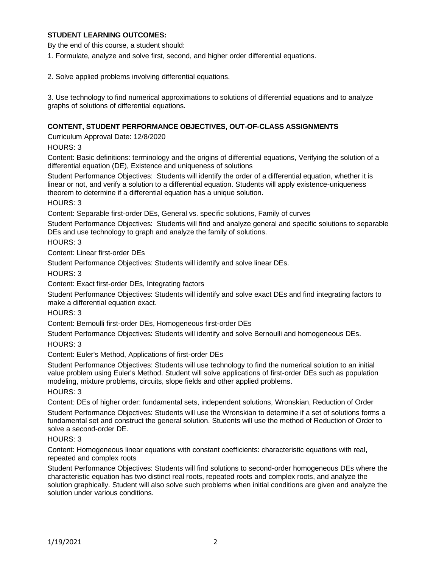## **STUDENT LEARNING OUTCOMES:**

By the end of this course, a student should:

1. Formulate, analyze and solve first, second, and higher order differential equations.

2. Solve applied problems involving differential equations.

3. Use technology to find numerical approximations to solutions of differential equations and to analyze graphs of solutions of differential equations.

#### **CONTENT, STUDENT PERFORMANCE OBJECTIVES, OUT-OF-CLASS ASSIGNMENTS**

Curriculum Approval Date: 12/8/2020

HOURS: 3

Content: Basic definitions: terminology and the origins of differential equations, Verifying the solution of a differential equation (DE), Existence and uniqueness of solutions

Student Performance Objectives: Students will identify the order of a differential equation, whether it is linear or not, and verify a solution to a differential equation. Students will apply existence-uniqueness theorem to determine if a differential equation has a unique solution.

HOURS: 3

Content: Separable first-order DEs, General vs. specific solutions, Family of curves

Student Performance Objectives: Students will find and analyze general and specific solutions to separable DEs and use technology to graph and analyze the family of solutions.

HOURS: 3

Content: Linear first-order DEs

Student Performance Objectives: Students will identify and solve linear DEs.

HOURS: 3

Content: Exact first-order DEs, Integrating factors

Student Performance Objectives: Students will identify and solve exact DEs and find integrating factors to make a differential equation exact.

HOURS: 3

Content: Bernoulli first-order DEs, Homogeneous first-order DEs

Student Performance Objectives: Students will identify and solve Bernoulli and homogeneous DEs.

HOURS: 3

Content: Euler's Method, Applications of first-order DEs

Student Performance Objectives: Students will use technology to find the numerical solution to an initial value problem using Euler's Method. Student will solve applications of first-order DEs such as population modeling, mixture problems, circuits, slope fields and other applied problems.

HOURS: 3

Content: DEs of higher order: fundamental sets, independent solutions, Wronskian, Reduction of Order Student Performance Objectives: Students will use the Wronskian to determine if a set of solutions forms a fundamental set and construct the general solution. Students will use the method of Reduction of Order to solve a second-order DE.

#### HOURS: 3

Content: Homogeneous linear equations with constant coefficients: characteristic equations with real, repeated and complex roots

Student Performance Objectives: Students will find solutions to second-order homogeneous DEs where the characteristic equation has two distinct real roots, repeated roots and complex roots, and analyze the solution graphically. Student will also solve such problems when initial conditions are given and analyze the solution under various conditions.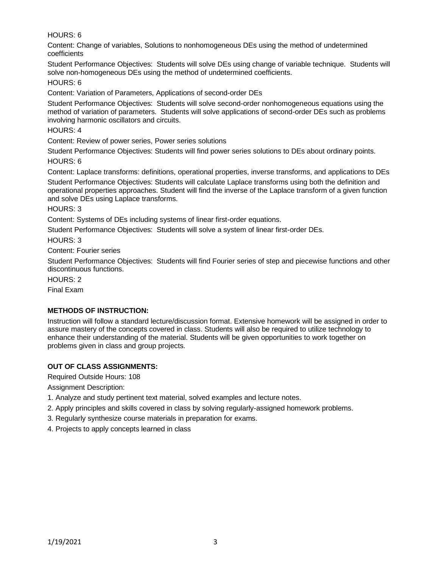HOURS: 6

Content: Change of variables, Solutions to nonhomogeneous DEs using the method of undetermined coefficients

Student Performance Objectives: Students will solve DEs using change of variable technique. Students will solve non-homogeneous DEs using the method of undetermined coefficients.

HOURS: 6

Content: Variation of Parameters, Applications of second-order DEs

Student Performance Objectives: Students will solve second-order nonhomogeneous equations using the method of variation of parameters. Students will solve applications of second-order DEs such as problems involving harmonic oscillators and circuits.

HOURS: 4

Content: Review of power series, Power series solutions

Student Performance Objectives: Students will find power series solutions to DEs about ordinary points. HOURS: 6

Content: Laplace transforms: definitions, operational properties, inverse transforms, and applications to DEs

Student Performance Objectives: Students will calculate Laplace transforms using both the definition and operational properties approaches. Student will find the inverse of the Laplace transform of a given function and solve DEs using Laplace transforms.

HOURS: 3

Content: Systems of DEs including systems of linear first-order equations.

Student Performance Objectives: Students will solve a system of linear first-order DEs.

HOURS: 3

Content: Fourier series

Student Performance Objectives: Students will find Fourier series of step and piecewise functions and other discontinuous functions.

HOURS: 2

Final Exam

# **METHODS OF INSTRUCTION:**

Instruction will follow a standard lecture/discussion format. Extensive homework will be assigned in order to assure mastery of the concepts covered in class. Students will also be required to utilize technology to enhance their understanding of the material. Students will be given opportunities to work together on problems given in class and group projects.

# **OUT OF CLASS ASSIGNMENTS:**

Required Outside Hours: 108

Assignment Description:

- 1. Analyze and study pertinent text material, solved examples and lecture notes.
- 2. Apply principles and skills covered in class by solving regularly-assigned homework problems.
- 3. Regularly synthesize course materials in preparation for exams.
- 4. Projects to apply concepts learned in class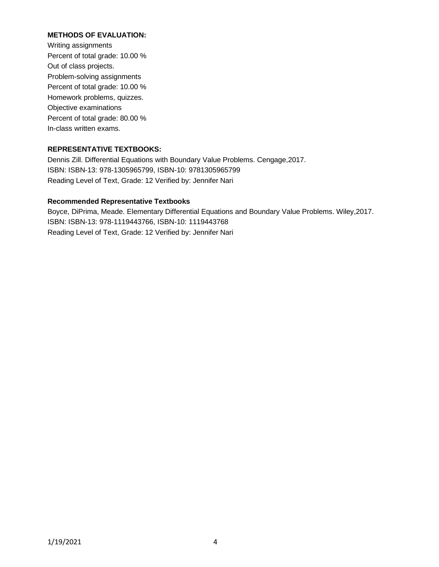## **METHODS OF EVALUATION:**

Writing assignments Percent of total grade: 10.00 % Out of class projects. Problem-solving assignments Percent of total grade: 10.00 % Homework problems, quizzes. Objective examinations Percent of total grade: 80.00 % In-class written exams.

# **REPRESENTATIVE TEXTBOOKS:**

Dennis Zill. Differential Equations with Boundary Value Problems. Cengage,2017. ISBN: ISBN-13: 978-1305965799, ISBN-10: 9781305965799 Reading Level of Text, Grade: 12 Verified by: Jennifer Nari

## **Recommended Representative Textbooks**

Boyce, DiPrima, Meade. Elementary Differential Equations and Boundary Value Problems. Wiley,2017. ISBN: ISBN-13: 978-1119443766, ISBN-10: 1119443768 Reading Level of Text, Grade: 12 Verified by: Jennifer Nari